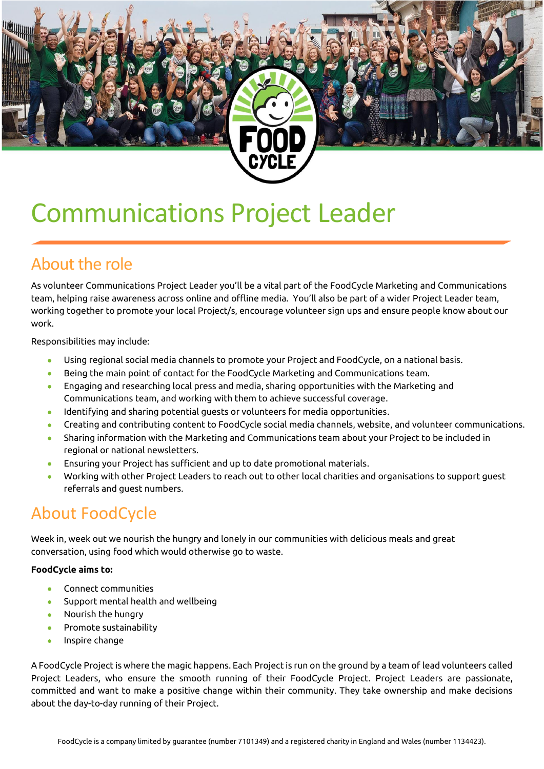# Communications Project Leader

## About the role

As volunteer Communications Project Leader you'll be a vital part of the FoodCycle Marketing and Communications team, helping raise awareness across online and offline media. You'll also be part of a wider Project Leader team, working together to promote your local Project/s, encourage volunteer sign ups and ensure people know about our work.

Responsibilities may include:

- Using regional social media channels to promote your Project and FoodCycle, on a national basis.
- Being the main point of contact for the FoodCycle Marketing and Communications team.
- Engaging and researching local press and media, sharing opportunities with the Marketing and Communications team, and working with them to achieve successful coverage.
- Identifying and sharing potential guests or volunteers for media opportunities.
- Creating and contributing content to FoodCycle social media channels, website, and volunteer communications.
- Sharing information with the Marketing and Communications team about your Project to be included in regional or national newsletters.
- Ensuring your Project has sufficient and up to date promotional materials.
- Working with other Project Leaders to reach out to other local charities and organisations to support guest referrals and guest numbers.

### About FoodCycle

Week in, week out we nourish the hungry and lonely in our communities with delicious meals and great conversation, using food which would otherwise go to waste.

#### **FoodCycle aims to:**

- Connect communities
- Support mental health and wellbeing
- Nourish the hungry
- Promote sustainability
- Inspire change

A FoodCycle Project is where the magic happens. Each Project is run on the ground by a team of lead volunteers called Project Leaders, who ensure the smooth running of their FoodCycle Project. Project Leaders are passionate, committed and want to make a positive change within their community. They take ownership and make decisions about the day-to-day running of their Project.